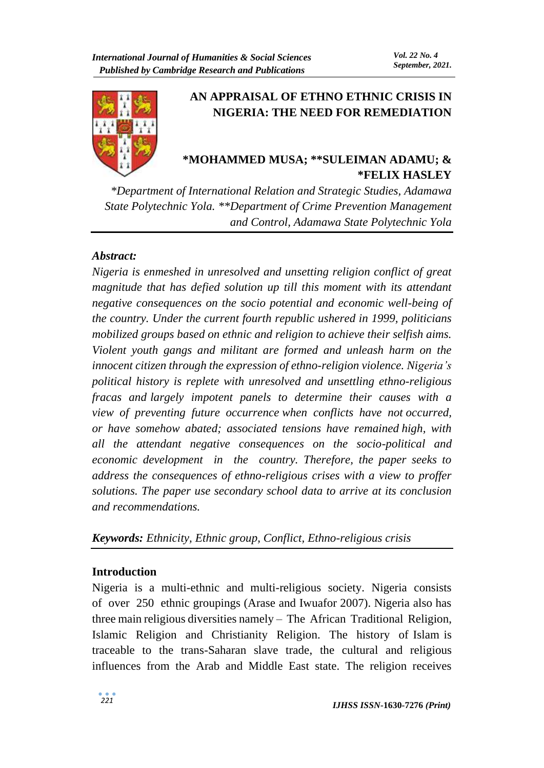

# **AN APPRAISAL OF ETHNO ETHNIC CRISIS IN NIGERIA: THE NEED FOR REMEDIATION**

## **\*MOHAMMED MUSA; \*\*SULEIMAN ADAMU; & \*FELIX HASLEY**

*\*Department of International Relation and Strategic Studies, Adamawa State Polytechnic Yola. \*\*Department of Crime Prevention Management and Control, Adamawa State Polytechnic Yola*

### *Abstract:*

*Nigeria is enmeshed in unresolved and unsetting religion conflict of great magnitude that has defied solution up till this moment with its attendant negative consequences on the socio potential and economic well-being of the country. Under the current fourth republic ushered in 1999, politicians mobilized groups based on ethnic and religion to achieve their selfish aims. Violent youth gangs and militant are formed and unleash harm on the innocent citizen through the expression of ethno-religion violence. Nigeria's political history is replete with unresolved and unsettling ethno-religious fracas and largely impotent panels to determine their causes with a view of preventing future occurrence when conflicts have not occurred, or have somehow abated; associated tensions have remained high, with all the attendant negative consequences on the socio-political and economic development in the country. Therefore, the paper seeks to address the consequences of ethno-religious crises with a view to proffer solutions. The paper use secondary school data to arrive at its conclusion and recommendations.* 

### *Keywords: Ethnicity, Ethnic group, Conflict, Ethno-religious crisis*

### **Introduction**

Nigeria is a multi-ethnic and multi-religious society. Nigeria consists of over 250 ethnic groupings (Arase and Iwuafor 2007). Nigeria also has three main religious diversities namely – The African Traditional Religion, Islamic Religion and Christianity Religion. The history of Islam is traceable to the trans-Saharan slave trade, the cultural and religious influences from the Arab and Middle East state. The religion receives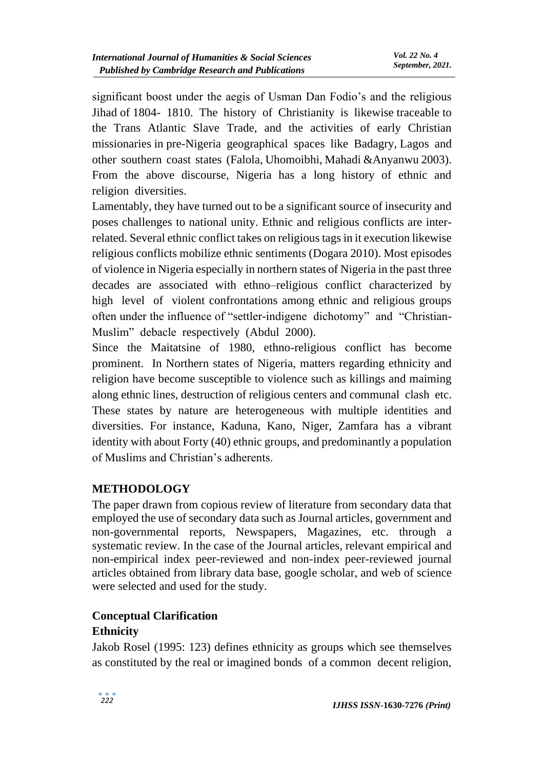significant boost under the aegis of Usman Dan Fodio's and the religious Jihad of 1804- 1810. The history of Christianity is likewise traceable to the Trans Atlantic Slave Trade, and the activities of early Christian missionaries in pre-Nigeria geographical spaces like Badagry, Lagos and other southern coast states (Falola, Uhomoibhi, Mahadi &Anyanwu 2003). From the above discourse, Nigeria has a long history of ethnic and religion diversities.

Lamentably, they have turned out to be a significant source of insecurity and poses challenges to national unity. Ethnic and religious conflicts are interrelated. Several ethnic conflict takes on religious tags in it execution likewise religious conflicts mobilize ethnic sentiments (Dogara 2010). Most episodes of violence in Nigeria especially in northern states of Nigeria in the past three decades are associated with ethno–religious conflict characterized by high level of violent confrontations among ethnic and religious groups often under the influence of "settler-indigene dichotomy" and "Christian-Muslim" debacle respectively (Abdul 2000).

Since the Maitatsine of 1980, ethno-religious conflict has become prominent. In Northern states of Nigeria, matters regarding ethnicity and religion have become susceptible to violence such as killings and maiming along ethnic lines, destruction of religious centers and communal clash etc. These states by nature are heterogeneous with multiple identities and diversities. For instance, Kaduna, Kano, Niger, Zamfara has a vibrant identity with about Forty (40) ethnic groups, and predominantly a population of Muslims and Christian's adherents.

## **METHODOLOGY**

The paper drawn from copious review of literature from secondary data that employed the use of secondary data such as Journal articles, government and non-governmental reports, Newspapers, Magazines, etc. through a systematic review. In the case of the Journal articles, relevant empirical and non-empirical index peer-reviewed and non-index peer-reviewed journal articles obtained from library data base, google scholar, and web of science were selected and used for the study.

## **Conceptual Clarification**

### **Ethnicity**

Jakob Rosel (1995: 123) defines ethnicity as groups which see themselves as constituted by the real or imagined bonds of a common decent religion,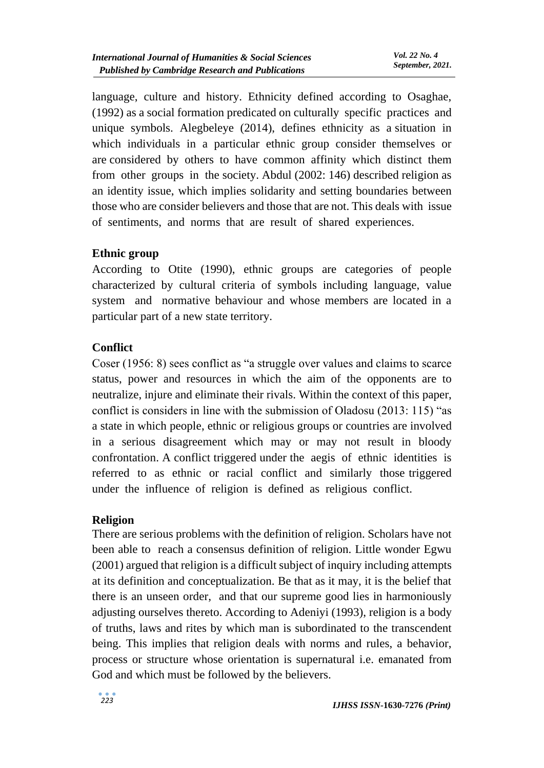language, culture and history. Ethnicity defined according to Osaghae, (1992) as a social formation predicated on culturally specific practices and unique symbols. Alegbeleye (2014), defines ethnicity as a situation in which individuals in a particular ethnic group consider themselves or are considered by others to have common affinity which distinct them from other groups in the society. Abdul (2002: 146) described religion as an identity issue, which implies solidarity and setting boundaries between those who are consider believers and those that are not. This deals with issue of sentiments, and norms that are result of shared experiences.

### **Ethnic group**

According to Otite (1990), ethnic groups are categories of people characterized by cultural criteria of symbols including language, value system and normative behaviour and whose members are located in a particular part of a new state territory.

## **Conflict**

Coser (1956: 8) sees conflict as "a struggle over values and claims to scarce status, power and resources in which the aim of the opponents are to neutralize, injure and eliminate their rivals. Within the context of this paper, conflict is considers in line with the submission of Oladosu (2013: 115) "as a state in which people, ethnic or religious groups or countries are involved in a serious disagreement which may or may not result in bloody confrontation. A conflict triggered under the aegis of ethnic identities is referred to as ethnic or racial conflict and similarly those triggered under the influence of religion is defined as religious conflict.

### **Religion**

There are serious problems with the definition of religion. Scholars have not been able to reach a consensus definition of religion. Little wonder Egwu (2001) argued that religion is a difficult subject of inquiry including attempts at its definition and conceptualization. Be that as it may, it is the belief that there is an unseen order, and that our supreme good lies in harmoniously adjusting ourselves thereto. According to Adeniyi (1993), religion is a body of truths, laws and rites by which man is subordinated to the transcendent being. This implies that religion deals with norms and rules, a behavior, process or structure whose orientation is supernatural i.e. emanated from God and which must be followed by the believers.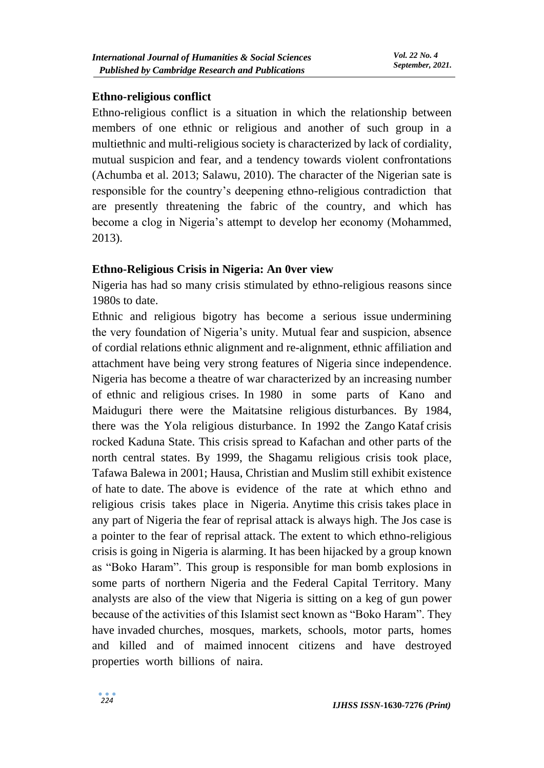### **Ethno-religious conflict**

Ethno-religious conflict is a situation in which the relationship between members of one ethnic or religious and another of such group in a multiethnic and multi-religious society is characterized by lack of cordiality, mutual suspicion and fear, and a tendency towards violent confrontations (Achumba et al. 2013; Salawu, 2010). The character of the Nigerian sate is responsible for the country's deepening ethno-religious contradiction that are presently threatening the fabric of the country, and which has become a clog in Nigeria's attempt to develop her economy (Mohammed, 2013).

#### **Ethno-Religious Crisis in Nigeria: An 0ver view**

Nigeria has had so many crisis stimulated by ethno-religious reasons since 1980s to date.

Ethnic and religious bigotry has become a serious issue undermining the very foundation of Nigeria's unity. Mutual fear and suspicion, absence of cordial relations ethnic alignment and re-alignment, ethnic affiliation and attachment have being very strong features of Nigeria since independence. Nigeria has become a theatre of war characterized by an increasing number of ethnic and religious crises. In 1980 in some parts of Kano and Maiduguri there were the Maitatsine religious disturbances. By 1984, there was the Yola religious disturbance. In 1992 the Zango Kataf crisis rocked Kaduna State. This crisis spread to Kafachan and other parts of the north central states. By 1999, the Shagamu religious crisis took place, Tafawa Balewa in 2001; Hausa, Christian and Muslim still exhibit existence of hate to date. The above is evidence of the rate at which ethno and religious crisis takes place in Nigeria. Anytime this crisis takes place in any part of Nigeria the fear of reprisal attack is always high. The Jos case is a pointer to the fear of reprisal attack. The extent to which ethno-religious crisis is going in Nigeria is alarming. It has been hijacked by a group known as "Boko Haram". This group is responsible for man bomb explosions in some parts of northern Nigeria and the Federal Capital Territory. Many analysts are also of the view that Nigeria is sitting on a keg of gun power because of the activities of this Islamist sect known as "Boko Haram". They have invaded churches, mosques, markets, schools, motor parts, homes and killed and of maimed innocent citizens and have destroyed properties worth billions of naira.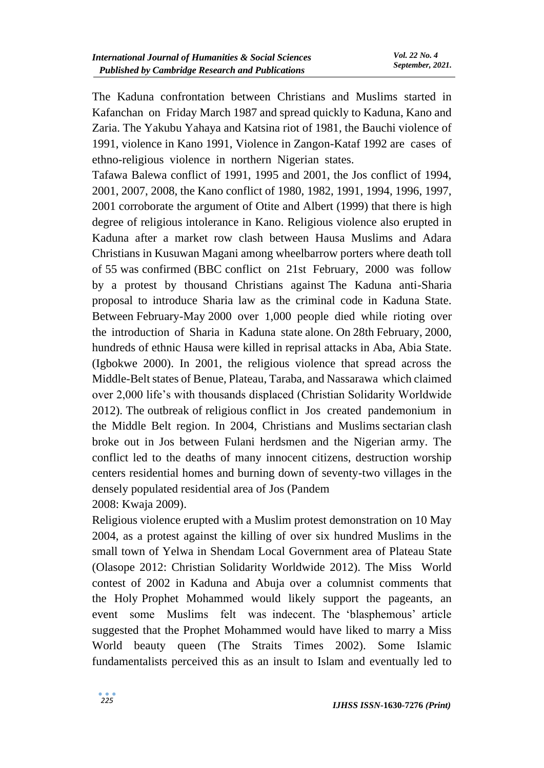The Kaduna confrontation between Christians and Muslims started in Kafanchan on Friday March 1987 and spread quickly to Kaduna, Kano and Zaria. The Yakubu Yahaya and Katsina riot of 1981, the Bauchi violence of 1991, violence in Kano 1991, Violence in Zangon-Kataf 1992 are cases of ethno-religious violence in northern Nigerian states.

Tafawa Balewa conflict of 1991, 1995 and 2001, the Jos conflict of 1994, 2001, 2007, 2008, the Kano conflict of 1980, 1982, 1991, 1994, 1996, 1997, 2001 corroborate the argument of Otite and Albert (1999) that there is high degree of religious intolerance in Kano. Religious violence also erupted in Kaduna after a market row clash between Hausa Muslims and Adara Christians in Kusuwan Magani among wheelbarrow porters where death toll of 55 was confirmed (BBC conflict on 21st February, 2000 was follow by a protest by thousand Christians against The Kaduna anti-Sharia proposal to introduce Sharia law as the criminal code in Kaduna State. Between February-May 2000 over 1,000 people died while rioting over the introduction of Sharia in Kaduna state alone. On 28th February, 2000, hundreds of ethnic Hausa were killed in reprisal attacks in Aba, Abia State. (Igbokwe 2000). In 2001, the religious violence that spread across the Middle-Belt states of Benue, Plateau, Taraba, and Nassarawa which claimed over 2,000 life's with thousands displaced (Christian Solidarity Worldwide 2012). The outbreak of religious conflict in Jos created pandemonium in the Middle Belt region. In 2004, Christians and Muslims sectarian clash broke out in Jos between Fulani herdsmen and the Nigerian army. The conflict led to the deaths of many innocent citizens, destruction worship centers residential homes and burning down of seventy-two villages in the densely populated residential area of Jos (Pandem

2008: Kwaja 2009).

Religious violence erupted with a Muslim protest demonstration on 10 May 2004, as a protest against the killing of over six hundred Muslims in the small town of Yelwa in Shendam Local Government area of Plateau State (Olasope 2012: Christian Solidarity Worldwide 2012). The Miss World contest of 2002 in Kaduna and Abuja over a columnist comments that the Holy Prophet Mohammed would likely support the pageants, an event some Muslims felt was indecent. The 'blasphemous' article suggested that the Prophet Mohammed would have liked to marry a Miss World beauty queen (The Straits Times 2002). Some Islamic fundamentalists perceived this as an insult to Islam and eventually led to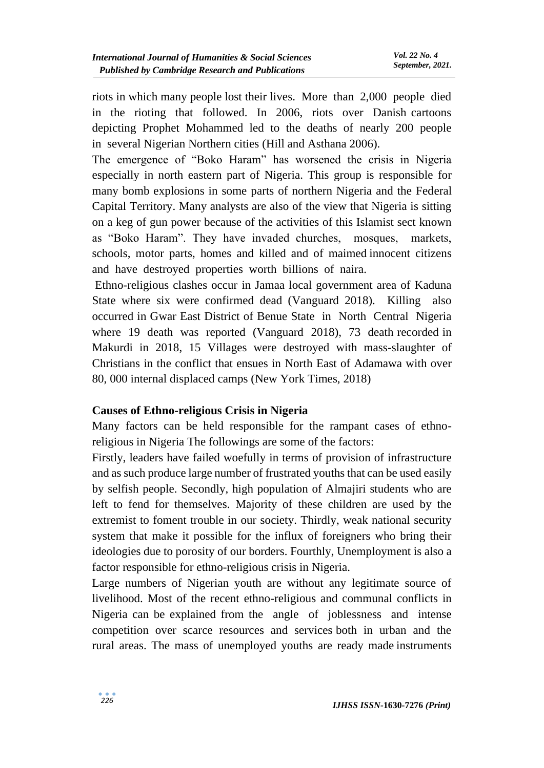riots in which many people lost their lives. More than 2,000 people died in the rioting that followed. In 2006, riots over Danish cartoons depicting Prophet Mohammed led to the deaths of nearly 200 people in several Nigerian Northern cities (Hill and Asthana 2006).

The emergence of "Boko Haram" has worsened the crisis in Nigeria especially in north eastern part of Nigeria. This group is responsible for many bomb explosions in some parts of northern Nigeria and the Federal Capital Territory. Many analysts are also of the view that Nigeria is sitting on a keg of gun power because of the activities of this Islamist sect known as "Boko Haram". They have invaded churches, mosques, markets, schools, motor parts, homes and killed and of maimed innocent citizens and have destroyed properties worth billions of naira.

Ethno-religious clashes occur in Jamaa local government area of Kaduna State where six were confirmed dead (Vanguard 2018). Killing also occurred in Gwar East District of Benue State in North Central Nigeria where 19 death was reported (Vanguard 2018), 73 death recorded in Makurdi in 2018, 15 Villages were destroyed with mass-slaughter of Christians in the conflict that ensues in North East of Adamawa with over 80, 000 internal displaced camps (New York Times, 2018)

### **Causes of Ethno-religious Crisis in Nigeria**

Many factors can be held responsible for the rampant cases of ethnoreligious in Nigeria The followings are some of the factors:

Firstly, leaders have failed woefully in terms of provision of infrastructure and as such produce large number of frustrated youths that can be used easily by selfish people. Secondly, high population of Almajiri students who are left to fend for themselves. Majority of these children are used by the extremist to foment trouble in our society. Thirdly, weak national security system that make it possible for the influx of foreigners who bring their ideologies due to porosity of our borders. Fourthly, Unemployment is also a factor responsible for ethno-religious crisis in Nigeria.

Large numbers of Nigerian youth are without any legitimate source of livelihood. Most of the recent ethno-religious and communal conflicts in Nigeria can be explained from the angle of joblessness and intense competition over scarce resources and services both in urban and the rural areas. The mass of unemployed youths are ready made instruments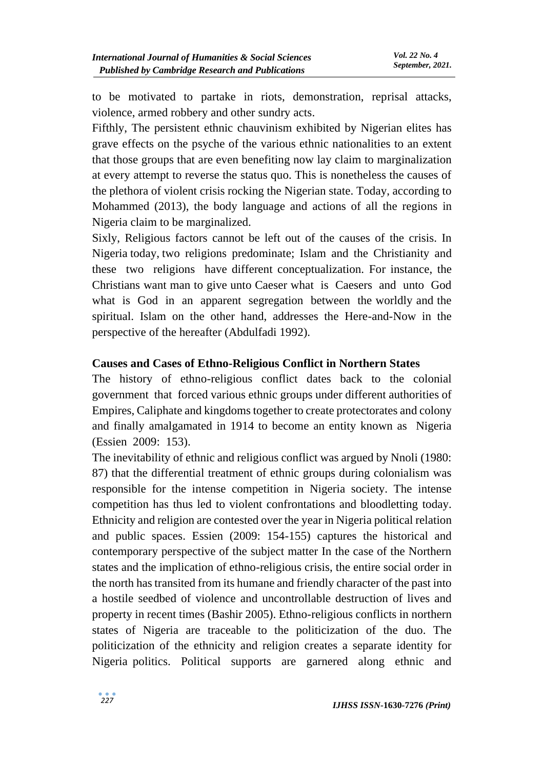to be motivated to partake in riots, demonstration, reprisal attacks, violence, armed robbery and other sundry acts.

Fifthly, The persistent ethnic chauvinism exhibited by Nigerian elites has grave effects on the psyche of the various ethnic nationalities to an extent that those groups that are even benefiting now lay claim to marginalization at every attempt to reverse the status quo. This is nonetheless the causes of the plethora of violent crisis rocking the Nigerian state. Today, according to Mohammed (2013), the body language and actions of all the regions in Nigeria claim to be marginalized.

Sixly, Religious factors cannot be left out of the causes of the crisis. In Nigeria today, two religions predominate; Islam and the Christianity and these two religions have different conceptualization. For instance, the Christians want man to give unto Caeser what is Caesers and unto God what is God in an apparent segregation between the worldly and the spiritual. Islam on the other hand, addresses the Here-and-Now in the perspective of the hereafter (Abdulfadi 1992).

### **Causes and Cases of Ethno-Religious Conflict in Northern States**

The history of ethno-religious conflict dates back to the colonial government that forced various ethnic groups under different authorities of Empires, Caliphate and kingdoms together to create protectorates and colony and finally amalgamated in 1914 to become an entity known as Nigeria (Essien 2009: 153).

The inevitability of ethnic and religious conflict was argued by Nnoli (1980: 87) that the differential treatment of ethnic groups during colonialism was responsible for the intense competition in Nigeria society. The intense competition has thus led to violent confrontations and bloodletting today. Ethnicity and religion are contested over the year in Nigeria political relation and public spaces. Essien (2009: 154-155) captures the historical and contemporary perspective of the subject matter In the case of the Northern states and the implication of ethno-religious crisis, the entire social order in the north has transited from its humane and friendly character of the past into a hostile seedbed of violence and uncontrollable destruction of lives and property in recent times (Bashir 2005). Ethno-religious conflicts in northern states of Nigeria are traceable to the politicization of the duo. The politicization of the ethnicity and religion creates a separate identity for Nigeria politics. Political supports are garnered along ethnic and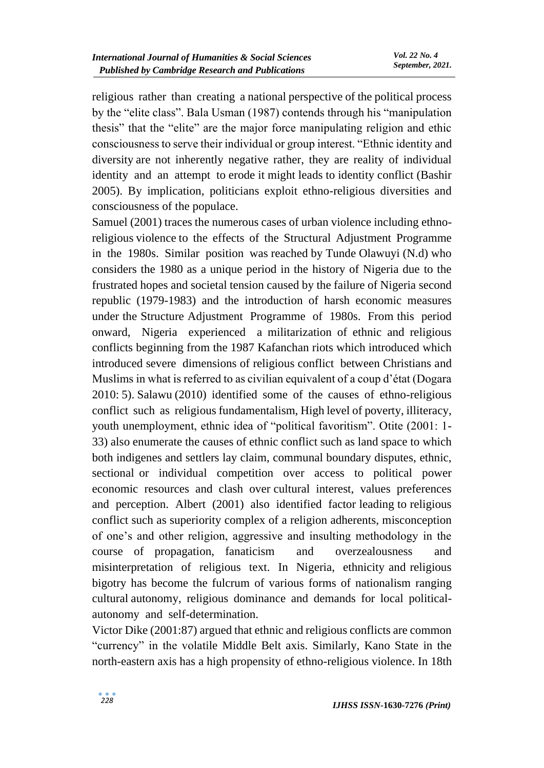religious rather than creating a national perspective of the political process by the "elite class". Bala Usman (1987) contends through his "manipulation thesis" that the "elite" are the major force manipulating religion and ethic consciousness to serve their individual or group interest. "Ethnic identity and diversity are not inherently negative rather, they are reality of individual identity and an attempt to erode it might leads to identity conflict (Bashir 2005). By implication, politicians exploit ethno-religious diversities and consciousness of the populace.

Samuel (2001) traces the numerous cases of urban violence including ethnoreligious violence to the effects of the Structural Adjustment Programme in the 1980s. Similar position was reached by Tunde Olawuyi (N.d) who considers the 1980 as a unique period in the history of Nigeria due to the frustrated hopes and societal tension caused by the failure of Nigeria second republic (1979-1983) and the introduction of harsh economic measures under the Structure Adjustment Programme of 1980s. From this period onward, Nigeria experienced a militarization of ethnic and religious conflicts beginning from the 1987 Kafanchan riots which introduced which introduced severe dimensions of religious conflict between Christians and Muslims in what is referred to as civilian equivalent of a coup d'état (Dogara 2010: 5). Salawu (2010) identified some of the causes of ethno-religious conflict such as religious fundamentalism, High level of poverty, illiteracy, youth unemployment, ethnic idea of "political favoritism". Otite (2001: 1- 33) also enumerate the causes of ethnic conflict such as land space to which both indigenes and settlers lay claim, communal boundary disputes, ethnic, sectional or individual competition over access to political power economic resources and clash over cultural interest, values preferences and perception. Albert (2001) also identified factor leading to religious conflict such as superiority complex of a religion adherents, misconception of one's and other religion, aggressive and insulting methodology in the course of propagation, fanaticism and overzealousness and misinterpretation of religious text. In Nigeria, ethnicity and religious bigotry has become the fulcrum of various forms of nationalism ranging cultural autonomy, religious dominance and demands for local politicalautonomy and self-determination.

Victor Dike (2001:87) argued that ethnic and religious conflicts are common "currency" in the volatile Middle Belt axis. Similarly, Kano State in the north-eastern axis has a high propensity of ethno-religious violence. In 18th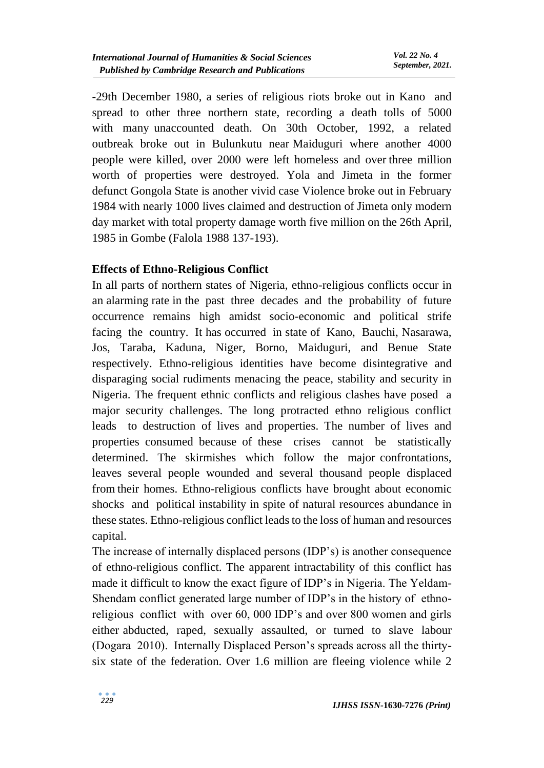-29th December 1980, a series of religious riots broke out in Kano and spread to other three northern state, recording a death tolls of 5000 with many unaccounted death. On 30th October, 1992, a related outbreak broke out in Bulunkutu near Maiduguri where another 4000 people were killed, over 2000 were left homeless and over three million worth of properties were destroyed. Yola and Jimeta in the former defunct Gongola State is another vivid case Violence broke out in February 1984 with nearly 1000 lives claimed and destruction of Jimeta only modern day market with total property damage worth five million on the 26th April, 1985 in Gombe (Falola 1988 137-193).

## **Effects of Ethno-Religious Conflict**

In all parts of northern states of Nigeria, ethno-religious conflicts occur in an alarming rate in the past three decades and the probability of future occurrence remains high amidst socio-economic and political strife facing the country. It has occurred in state of Kano, Bauchi, Nasarawa, Jos, Taraba, Kaduna, Niger, Borno, Maiduguri, and Benue State respectively. Ethno-religious identities have become disintegrative and disparaging social rudiments menacing the peace, stability and security in Nigeria. The frequent ethnic conflicts and religious clashes have posed a major security challenges. The long protracted ethno religious conflict leads to destruction of lives and properties. The number of lives and properties consumed because of these crises cannot be statistically determined. The skirmishes which follow the major confrontations, leaves several people wounded and several thousand people displaced from their homes. Ethno-religious conflicts have brought about economic shocks and political instability in spite of natural resources abundance in these states. Ethno-religious conflict leads to the loss of human and resources capital.

The increase of internally displaced persons (IDP's) is another consequence of ethno-religious conflict. The apparent intractability of this conflict has made it difficult to know the exact figure of IDP's in Nigeria. The Yeldam-Shendam conflict generated large number of IDP's in the history of ethnoreligious conflict with over 60, 000 IDP's and over 800 women and girls either abducted, raped, sexually assaulted, or turned to slave labour (Dogara 2010). Internally Displaced Person's spreads across all the thirtysix state of the federation. Over 1.6 million are fleeing violence while 2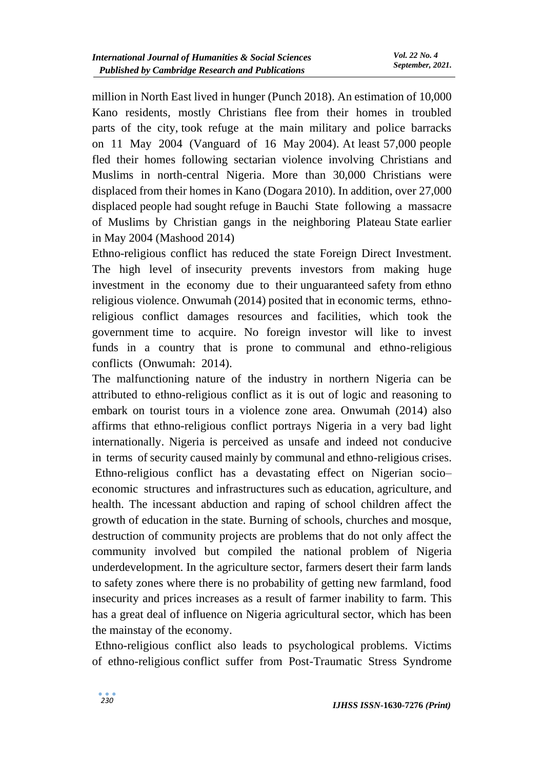million in North East lived in hunger (Punch 2018). An estimation of 10,000 Kano residents, mostly Christians flee from their homes in troubled parts of the city, took refuge at the main military and police barracks on 11 May 2004 (Vanguard of 16 May 2004). At least 57,000 people fled their homes following sectarian violence involving Christians and Muslims in north-central Nigeria. More than 30,000 Christians were displaced from their homes in Kano (Dogara 2010). In addition, over 27,000 displaced people had sought refuge in Bauchi State following a massacre of Muslims by Christian gangs in the neighboring Plateau State earlier in May 2004 (Mashood 2014)

Ethno-religious conflict has reduced the state Foreign Direct Investment. The high level of insecurity prevents investors from making huge investment in the economy due to their unguaranteed safety from ethno religious violence. Onwumah (2014) posited that in economic terms, ethnoreligious conflict damages resources and facilities, which took the government time to acquire. No foreign investor will like to invest funds in a country that is prone to communal and ethno-religious conflicts (Onwumah: 2014).

The malfunctioning nature of the industry in northern Nigeria can be attributed to ethno-religious conflict as it is out of logic and reasoning to embark on tourist tours in a violence zone area. Onwumah (2014) also affirms that ethno-religious conflict portrays Nigeria in a very bad light internationally. Nigeria is perceived as unsafe and indeed not conducive in terms of security caused mainly by communal and ethno-religious crises. Ethno-religious conflict has a devastating effect on Nigerian socio– economic structures and infrastructures such as education, agriculture, and health. The incessant abduction and raping of school children affect the growth of education in the state. Burning of schools, churches and mosque, destruction of community projects are problems that do not only affect the community involved but compiled the national problem of Nigeria underdevelopment. In the agriculture sector, farmers desert their farm lands to safety zones where there is no probability of getting new farmland, food insecurity and prices increases as a result of farmer inability to farm. This has a great deal of influence on Nigeria agricultural sector, which has been the mainstay of the economy.

Ethno-religious conflict also leads to psychological problems. Victims of ethno-religious conflict suffer from Post-Traumatic Stress Syndrome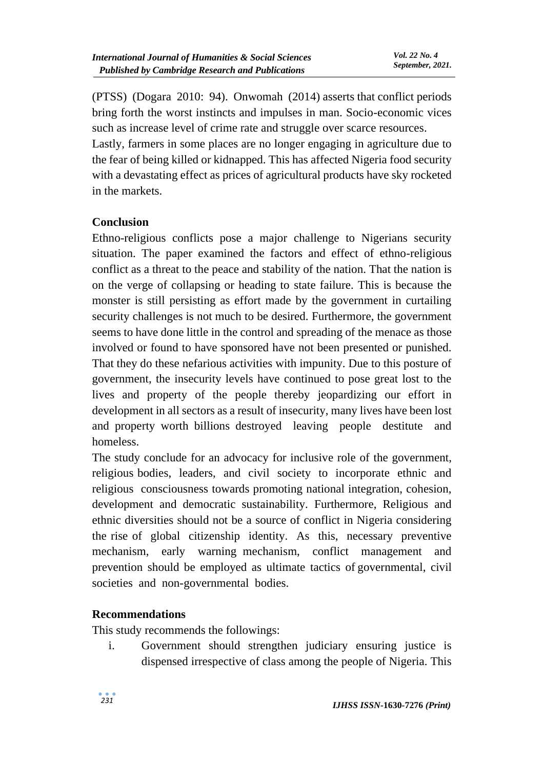(PTSS) (Dogara 2010: 94). Onwomah (2014) asserts that conflict periods bring forth the worst instincts and impulses in man. Socio-economic vices such as increase level of crime rate and struggle over scarce resources.

Lastly, farmers in some places are no longer engaging in agriculture due to the fear of being killed or kidnapped. This has affected Nigeria food security with a devastating effect as prices of agricultural products have sky rocketed in the markets.

## **Conclusion**

Ethno-religious conflicts pose a major challenge to Nigerians security situation. The paper examined the factors and effect of ethno-religious conflict as a threat to the peace and stability of the nation. That the nation is on the verge of collapsing or heading to state failure. This is because the monster is still persisting as effort made by the government in curtailing security challenges is not much to be desired. Furthermore, the government seems to have done little in the control and spreading of the menace as those involved or found to have sponsored have not been presented or punished. That they do these nefarious activities with impunity. Due to this posture of government, the insecurity levels have continued to pose great lost to the lives and property of the people thereby jeopardizing our effort in development in all sectors as a result of insecurity, many lives have been lost and property worth billions destroyed leaving people destitute and homeless.

The study conclude for an advocacy for inclusive role of the government, religious bodies, leaders, and civil society to incorporate ethnic and religious consciousness towards promoting national integration, cohesion, development and democratic sustainability. Furthermore, Religious and ethnic diversities should not be a source of conflict in Nigeria considering the rise of global citizenship identity. As this, necessary preventive mechanism, early warning mechanism, conflict management and prevention should be employed as ultimate tactics of governmental, civil societies and non-governmental bodies.

### **Recommendations**

This study recommends the followings:

i. Government should strengthen judiciary ensuring justice is dispensed irrespective of class among the people of Nigeria. This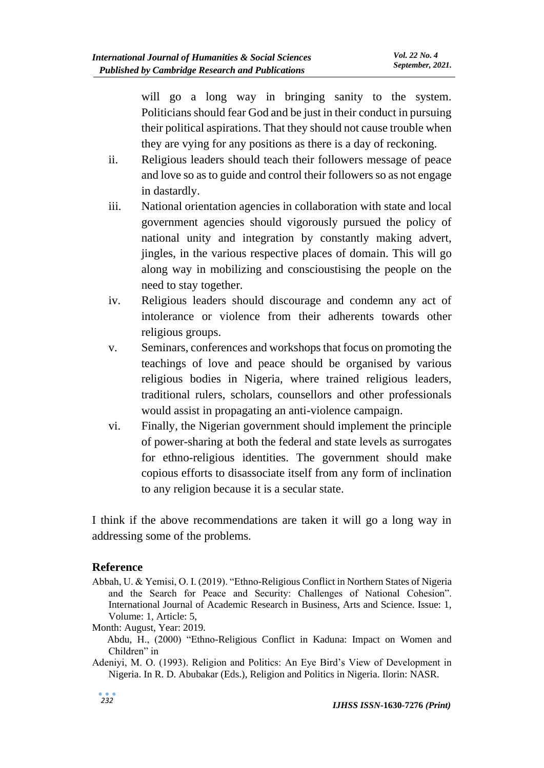will go a long way in bringing sanity to the system. Politicians should fear God and be just in their conduct in pursuing their political aspirations. That they should not cause trouble when they are vying for any positions as there is a day of reckoning.

- ii. Religious leaders should teach their followers message of peace and love so as to guide and control their followers so as not engage in dastardly.
- iii. National orientation agencies in collaboration with state and local government agencies should vigorously pursued the policy of national unity and integration by constantly making advert, jingles, in the various respective places of domain. This will go along way in mobilizing and conscioustising the people on the need to stay together.
- iv. Religious leaders should discourage and condemn any act of intolerance or violence from their adherents towards other religious groups.
- v. Seminars, conferences and workshops that focus on promoting the teachings of love and peace should be organised by various religious bodies in Nigeria, where trained religious leaders, traditional rulers, scholars, counsellors and other professionals would assist in propagating an anti-violence campaign.
- vi. Finally, the Nigerian government should implement the principle of power-sharing at both the federal and state levels as surrogates for ethno-religious identities. The government should make copious efforts to disassociate itself from any form of inclination to any religion because it is a secular state.

I think if the above recommendations are taken it will go a long way in addressing some of the problems.

### **Reference**

Abbah, U. & Yemisi, O. I. (2019). "Ethno-Religious Conflict in Northern States of Nigeria and the Search for Peace and Security: Challenges of National Cohesion". International Journal of Academic Research in Business, Arts and Science. Issue: 1, Volume: 1, Article: 5,

Month: August, Year: 2019.

 Abdu, H., (2000) "Ethno-Religious Conflict in Kaduna: Impact on Women and Children" in

Adeniyi, M. O. (1993). Religion and Politics: An Eye Bird's View of Development in Nigeria. In R. D. Abubakar (Eds.), Religion and Politics in Nigeria. Ilorin: NASR.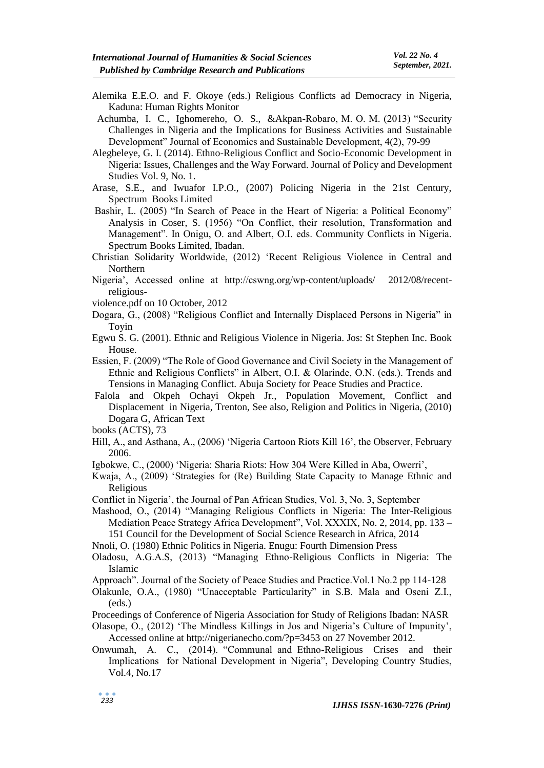- Alemika E.E.O. and F. Okoye (eds.) Religious Conflicts ad Democracy in Nigeria, Kaduna: Human Rights Monitor
- Achumba, I. C., Ighomereho, O. S., &Akpan-Robaro, M. O. M. (2013) "Security Challenges in Nigeria and the Implications for Business Activities and Sustainable Development" Journal of Economics and Sustainable Development, 4(2), 79-99
- Alegbeleye, G. I. (2014). Ethno-Religious Conflict and Socio-Economic Development in Nigeria: Issues, Challenges and the Way Forward. Journal of Policy and Development Studies Vol. 9, No. 1.
- Arase, S.E., and Iwuafor I.P.O., (2007) Policing Nigeria in the 21st Century, Spectrum Books Limited
- Bashir, L. (2005) "In Search of Peace in the Heart of Nigeria: a Political Economy" Analysis in Coser, S. (1956) "On Conflict, their resolution, Transformation and Management". In Onigu, O. and Albert, O.I. eds. Community Conflicts in Nigeria. Spectrum Books Limited, Ibadan.
- Christian Solidarity Worldwide, (2012) 'Recent Religious Violence in Central and Northern
- Nigeria', Accessed online at http://cswng.org/wp-content/uploads/ 2012/08/recentreligious-
- violence.pdf on 10 October, 2012
- Dogara, G., (2008) "Religious Conflict and Internally Displaced Persons in Nigeria" in Toyin
- Egwu S. G. (2001). Ethnic and Religious Violence in Nigeria. Jos: St Stephen Inc. Book House.
- Essien, F. (2009) "The Role of Good Governance and Civil Society in the Management of Ethnic and Religious Conflicts" in Albert, O.I. & Olarinde, O.N. (eds.). Trends and Tensions in Managing Conflict. Abuja Society for Peace Studies and Practice.
- Falola and Okpeh Ochayi Okpeh Jr., Population Movement, Conflict and Displacement in Nigeria, Trenton, See also, Religion and Politics in Nigeria, (2010) Dogara G, African Text

books (ACTS), 73

- Hill, A., and Asthana, A., (2006) 'Nigeria Cartoon Riots Kill 16', the Observer, February 2006.
- Igbokwe, C., (2000) 'Nigeria: Sharia Riots: How 304 Were Killed in Aba, Owerri',
- Kwaja, A., (2009) 'Strategies for (Re) Building State Capacity to Manage Ethnic and Religious
- Conflict in Nigeria', the Journal of Pan African Studies, Vol. 3, No. 3, September

Mashood, O., (2014) "Managing Religious Conflicts in Nigeria: The Inter-Religious Mediation Peace Strategy Africa Development", Vol. XXXIX, No. 2, 2014, pp. 133 – 151 Council for the Development of Social Science Research in Africa, 2014

- Nnoli, O. (1980) Ethnic Politics in Nigeria. Enugu: Fourth Dimension Press
- Oladosu, A.G.A.S, (2013) "Managing Ethno-Religious Conflicts in Nigeria: The Islamic
- Approach". Journal of the Society of Peace Studies and Practice.Vol.1 No.2 pp 114-128
- Olakunle, O.A., (1980) "Unacceptable Particularity" in S.B. Mala and Oseni Z.I., (eds.)
- Proceedings of Conference of Nigeria Association for Study of Religions Ibadan: NASR
- Olasope, O., (2012) 'The Mindless Killings in Jos and Nigeria's Culture of Impunity', Accessed online at http://nigerianecho.com/?p=3453 on 27 November 2012.
- Onwumah, A. C., (2014). "Communal and Ethno-Religious Crises and their Implications for National Development in Nigeria", Developing Country Studies, Vol.4, No.17